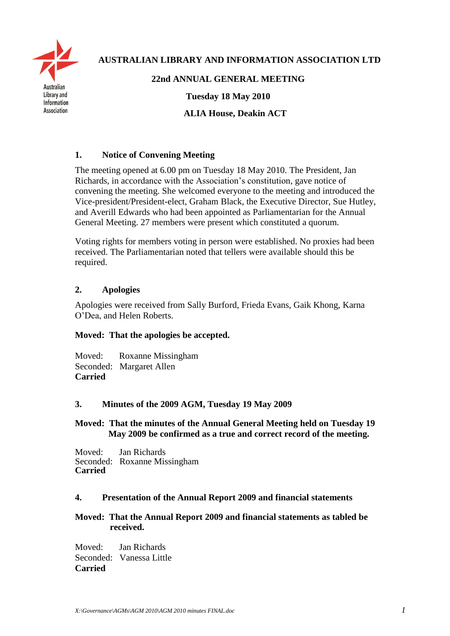

 **AUSTRALIAN LIBRARY AND INFORMATION ASSOCIATION LTD**

# **22nd ANNUAL GENERAL MEETING**

**Tuesday 18 May 2010**

**ALIA House, Deakin ACT**

# **1. Notice of Convening Meeting**

The meeting opened at 6.00 pm on Tuesday 18 May 2010. The President, Jan Richards, in accordance with the Association's constitution, gave notice of convening the meeting. She welcomed everyone to the meeting and introduced the Vice-president/President-elect, Graham Black, the Executive Director, Sue Hutley, and Averill Edwards who had been appointed as Parliamentarian for the Annual General Meeting. 27 members were present which constituted a quorum.

Voting rights for members voting in person were established. No proxies had been received. The Parliamentarian noted that tellers were available should this be required.

## **2. Apologies**

Apologies were received from Sally Burford, Frieda Evans, Gaik Khong, Karna O'Dea, and Helen Roberts.

#### **Moved: That the apologies be accepted.**

Moved: Roxanne Missingham Seconded: Margaret Allen **Carried**

#### **3. Minutes of the 2009 AGM, Tuesday 19 May 2009**

#### **Moved: That the minutes of the Annual General Meeting held on Tuesday 19 May 2009 be confirmed as a true and correct record of the meeting.**

Moved: Jan Richards Seconded: Roxanne Missingham **Carried**

#### **4. Presentation of the Annual Report 2009 and financial statements**

## **Moved: That the Annual Report 2009 and financial statements as tabled be received.**

Moved: Jan Richards Seconded: Vanessa Little **Carried**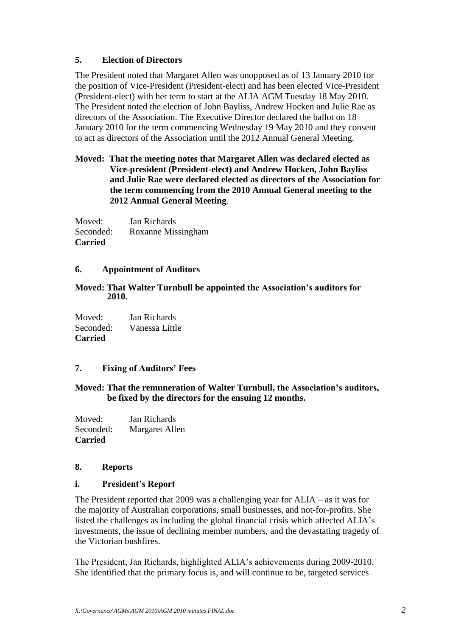## **5. Election of Directors**

The President noted that Margaret Allen was unopposed as of 13 January 2010 for the position of Vice-President (President-elect) and has been elected Vice-President (President-elect) with her term to start at the ALIA AGM Tuesday 18 May 2010. The President noted the election of John Bayliss, Andrew Hocken and Julie Rae as directors of the Association. The Executive Director declared the ballot on 18 January 2010 for the term commencing Wednesday 19 May 2010 and they consent to act as directors of the Association until the 2012 Annual General Meeting.

## **Moved: That the meeting notes that Margaret Allen was declared elected as Vice-president (President-elect) and Andrew Hocken, John Bayliss and Julie Rae were declared elected as directors of the Association for the term commencing from the 2010 Annual General meeting to the 2012 Annual General Meeting**.

Moved: Jan Richards Seconded: Roxanne Missingham **Carried**

## **6. Appointment of Auditors**

#### **Moved: That Walter Turnbull be appointed the Association's auditors for 2010.**

Moved: Jan Richards Seconded: Vanessa Little **Carried** 

## **7. Fixing of Auditors' Fees**

## **Moved: That the remuneration of Walter Turnbull, the Association's auditors, be fixed by the directors for the ensuing 12 months.**

Moved: Jan Richards Seconded: Margaret Allen **Carried**

#### **8. Reports**

#### **i. President's Report**

The President reported that 2009 was a challenging year for ALIA – as it was for the majority of Australian corporations, small businesses, and not-for-profits. She listed the challenges as including the global financial crisis which affected ALIA's investments, the issue of declining member numbers, and the devastating tragedy of the Victorian bushfires.

The President, Jan Richards, highlighted ALIA's achievements during 2009-2010. She identified that the primary focus is, and will continue to be, targeted services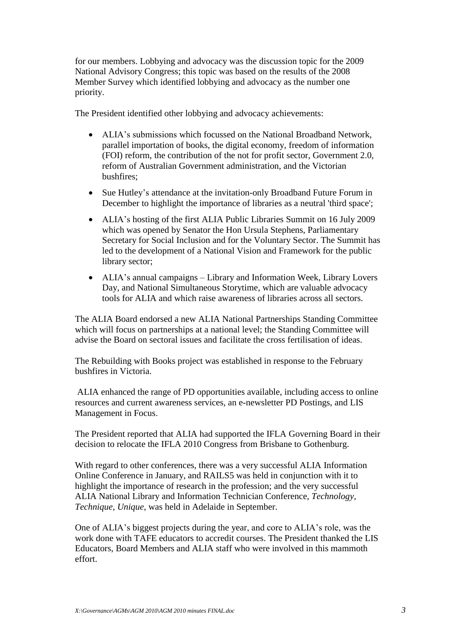for our members. Lobbying and advocacy was the discussion topic for the 2009 National Advisory Congress; this topic was based on the results of the 2008 Member Survey which identified lobbying and advocacy as the number one priority.

The President identified other lobbying and advocacy achievements:

- ALIA's submissions which focussed on the National Broadband Network, parallel importation of books, the digital economy, freedom of information (FOI) reform, the contribution of the not for profit sector, Government 2.0, reform of Australian Government administration, and the Victorian bushfires;
- Sue Hutley's attendance at the invitation-only Broadband Future Forum in December to highlight the importance of libraries as a neutral 'third space';
- ALIA's hosting of the first ALIA Public Libraries Summit on 16 July 2009 which was opened by Senator the Hon Ursula Stephens, Parliamentary Secretary for Social Inclusion and for the Voluntary Sector. The Summit has led to the development of a National Vision and Framework for the public library sector;
- ALIA's annual campaigns Library and Information Week, Library Lovers Day, and National Simultaneous Storytime, which are valuable advocacy tools for ALIA and which raise awareness of libraries across all sectors.

The ALIA Board endorsed a new ALIA National Partnerships Standing Committee which will focus on partnerships at a national level; the Standing Committee will advise the Board on sectoral issues and facilitate the cross fertilisation of ideas.

The Rebuilding with Books project was established in response to the February bushfires in Victoria.

ALIA enhanced the range of PD opportunities available, including access to online resources and current awareness services, an e-newsletter PD Postings, and LIS Management in Focus.

The President reported that ALIA had supported the IFLA Governing Board in their decision to relocate the IFLA 2010 Congress from Brisbane to Gothenburg.

With regard to other conferences, there was a very successful ALIA Information Online Conference in January, and RAILS5 was held in conjunction with it to highlight the importance of research in the profession; and the very successful ALIA National Library and Information Technician Conference, *Technology, Technique, Unique*, was held in Adelaide in September.

One of ALIA's biggest projects during the year, and core to ALIA's role, was the work done with TAFE educators to accredit courses. The President thanked the LIS Educators, Board Members and ALIA staff who were involved in this mammoth effort.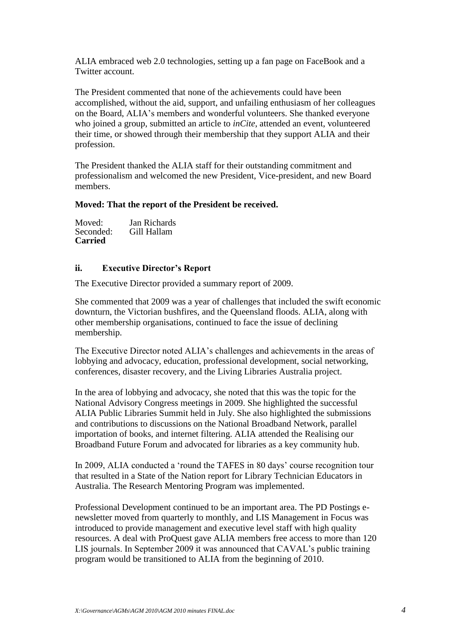ALIA embraced web 2.0 technologies, setting up a fan page on FaceBook and a Twitter account.

The President commented that none of the achievements could have been accomplished, without the aid, support, and unfailing enthusiasm of her colleagues on the Board, ALIA's members and wonderful volunteers. She thanked everyone who joined a group, submitted an article to *inCite*, attended an event, volunteered their time, or showed through their membership that they support ALIA and their profession.

The President thanked the ALIA staff for their outstanding commitment and professionalism and welcomed the new President, Vice-president, and new Board members.

#### **Moved: That the report of the President be received.**

| Moved:         | Jan Richards |
|----------------|--------------|
| Seconded:      | Gill Hallam  |
| <b>Carried</b> |              |

#### **ii. Executive Director's Report**

The Executive Director provided a summary report of 2009.

She commented that 2009 was a year of challenges that included the swift economic downturn, the Victorian bushfires, and the Queensland floods. ALIA, along with other membership organisations, continued to face the issue of declining membership.

The Executive Director noted ALIA's challenges and achievements in the areas of lobbying and advocacy, education, professional development, social networking, conferences, disaster recovery, and the Living Libraries Australia project.

In the area of lobbying and advocacy, she noted that this was the topic for the National Advisory Congress meetings in 2009. She highlighted the successful ALIA Public Libraries Summit held in July. She also highlighted the submissions and contributions to discussions on the National Broadband Network, parallel importation of books, and internet filtering. ALIA attended the Realising our Broadband Future Forum and advocated for libraries as a key community hub.

In 2009, ALIA conducted a 'round the TAFES in 80 days' course recognition tour that resulted in a State of the Nation report for Library Technician Educators in Australia. The Research Mentoring Program was implemented.

Professional Development continued to be an important area. The PD Postings enewsletter moved from quarterly to monthly, and LIS Management in Focus was introduced to provide management and executive level staff with high quality resources. A deal with ProQuest gave ALIA members free access to more than 120 LIS journals. In September 2009 it was announced that CAVAL's public training program would be transitioned to ALIA from the beginning of 2010.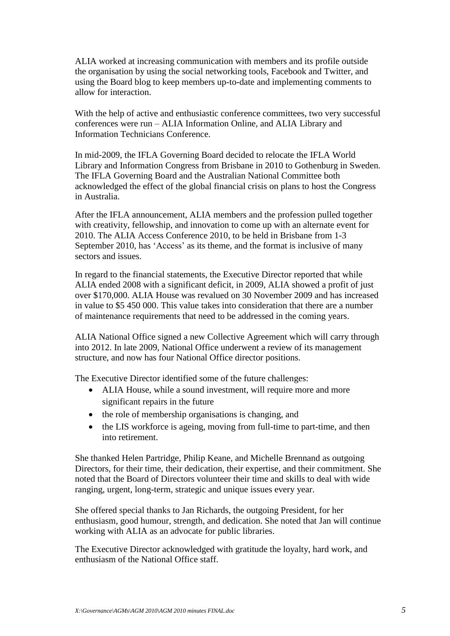ALIA worked at increasing communication with members and its profile outside the organisation by using the social networking tools, Facebook and Twitter, and using the Board blog to keep members up-to-date and implementing comments to allow for interaction.

With the help of active and enthusiastic conference committees, two very successful conferences were run – ALIA Information Online, and ALIA Library and Information Technicians Conference.

In mid-2009, the IFLA Governing Board decided to relocate the IFLA World Library and Information Congress from Brisbane in 2010 to Gothenburg in Sweden. The IFLA Governing Board and the Australian National Committee both acknowledged the effect of the global financial crisis on plans to host the Congress in Australia.

After the IFLA announcement, ALIA members and the profession pulled together with creativity, fellowship, and innovation to come up with an alternate event for 2010. The ALIA Access Conference 2010, to be held in Brisbane from 1-3 September 2010, has 'Access' as its theme, and the format is inclusive of many sectors and issues.

In regard to the financial statements, the Executive Director reported that while ALIA ended 2008 with a significant deficit, in 2009, ALIA showed a profit of just over \$170,000. ALIA House was revalued on 30 November 2009 and has increased in value to \$5 450 000. This value takes into consideration that there are a number of maintenance requirements that need to be addressed in the coming years.

ALIA National Office signed a new Collective Agreement which will carry through into 2012. In late 2009, National Office underwent a review of its management structure, and now has four National Office director positions.

The Executive Director identified some of the future challenges:

- ALIA House, while a sound investment, will require more and more significant repairs in the future
- the role of membership organisations is changing, and
- the LIS workforce is ageing, moving from full-time to part-time, and then into retirement.

She thanked Helen Partridge, Philip Keane, and Michelle Brennand as outgoing Directors, for their time, their dedication, their expertise, and their commitment. She noted that the Board of Directors volunteer their time and skills to deal with wide ranging, urgent, long-term, strategic and unique issues every year.

She offered special thanks to Jan Richards, the outgoing President, for her enthusiasm, good humour, strength, and dedication. She noted that Jan will continue working with ALIA as an advocate for public libraries.

The Executive Director acknowledged with gratitude the loyalty, hard work, and enthusiasm of the National Office staff.